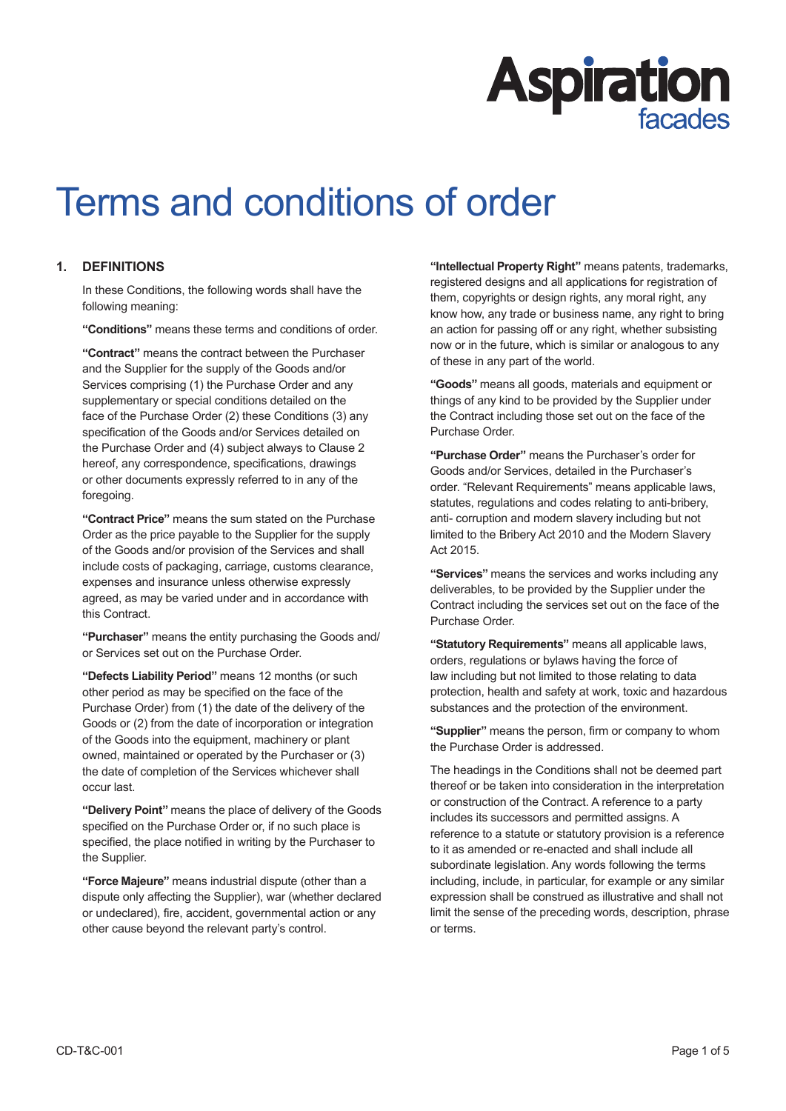# **Aspiration**

# Terms and conditions of order

# **1. DEFINITIONS**

In these Conditions, the following words shall have the following meaning:

**"Conditions"** means these terms and conditions of order.

**"Contract"** means the contract between the Purchaser and the Supplier for the supply of the Goods and/or Services comprising (1) the Purchase Order and any supplementary or special conditions detailed on the face of the Purchase Order (2) these Conditions (3) any specification of the Goods and/or Services detailed on the Purchase Order and (4) subject always to Clause 2 hereof, any correspondence, specifications, drawings or other documents expressly referred to in any of the foregoing.

**"Contract Price"** means the sum stated on the Purchase Order as the price payable to the Supplier for the supply of the Goods and/or provision of the Services and shall include costs of packaging, carriage, customs clearance, expenses and insurance unless otherwise expressly agreed, as may be varied under and in accordance with this Contract.

**"Purchaser"** means the entity purchasing the Goods and/ or Services set out on the Purchase Order.

**"Defects Liability Period"** means 12 months (or such other period as may be specified on the face of the Purchase Order) from (1) the date of the delivery of the Goods or (2) from the date of incorporation or integration of the Goods into the equipment, machinery or plant owned, maintained or operated by the Purchaser or (3) the date of completion of the Services whichever shall occur last.

**"Delivery Point"** means the place of delivery of the Goods specified on the Purchase Order or, if no such place is specified, the place notified in writing by the Purchaser to the Supplier.

**"Force Majeure"** means industrial dispute (other than a dispute only affecting the Supplier), war (whether declared or undeclared), fire, accident, governmental action or any other cause beyond the relevant party's control.

**"Intellectual Property Right"** means patents, trademarks, registered designs and all applications for registration of them, copyrights or design rights, any moral right, any know how, any trade or business name, any right to bring an action for passing off or any right, whether subsisting now or in the future, which is similar or analogous to any of these in any part of the world.

**"Goods"** means all goods, materials and equipment or things of any kind to be provided by the Supplier under the Contract including those set out on the face of the Purchase Order.

**"Purchase Order"** means the Purchaser's order for Goods and/or Services, detailed in the Purchaser's order. "Relevant Requirements" means applicable laws, statutes, regulations and codes relating to anti-bribery, anti- corruption and modern slavery including but not limited to the Bribery Act 2010 and the Modern Slavery Act 2015.

**"Services"** means the services and works including any deliverables, to be provided by the Supplier under the Contract including the services set out on the face of the Purchase Order.

**"Statutory Requirements"** means all applicable laws, orders, regulations or bylaws having the force of law including but not limited to those relating to data protection, health and safety at work, toxic and hazardous substances and the protection of the environment.

**"Supplier"** means the person, firm or company to whom the Purchase Order is addressed.

The headings in the Conditions shall not be deemed part thereof or be taken into consideration in the interpretation or construction of the Contract. A reference to a party includes its successors and permitted assigns. A reference to a statute or statutory provision is a reference to it as amended or re-enacted and shall include all subordinate legislation. Any words following the terms including, include, in particular, for example or any similar expression shall be construed as illustrative and shall not limit the sense of the preceding words, description, phrase or terms.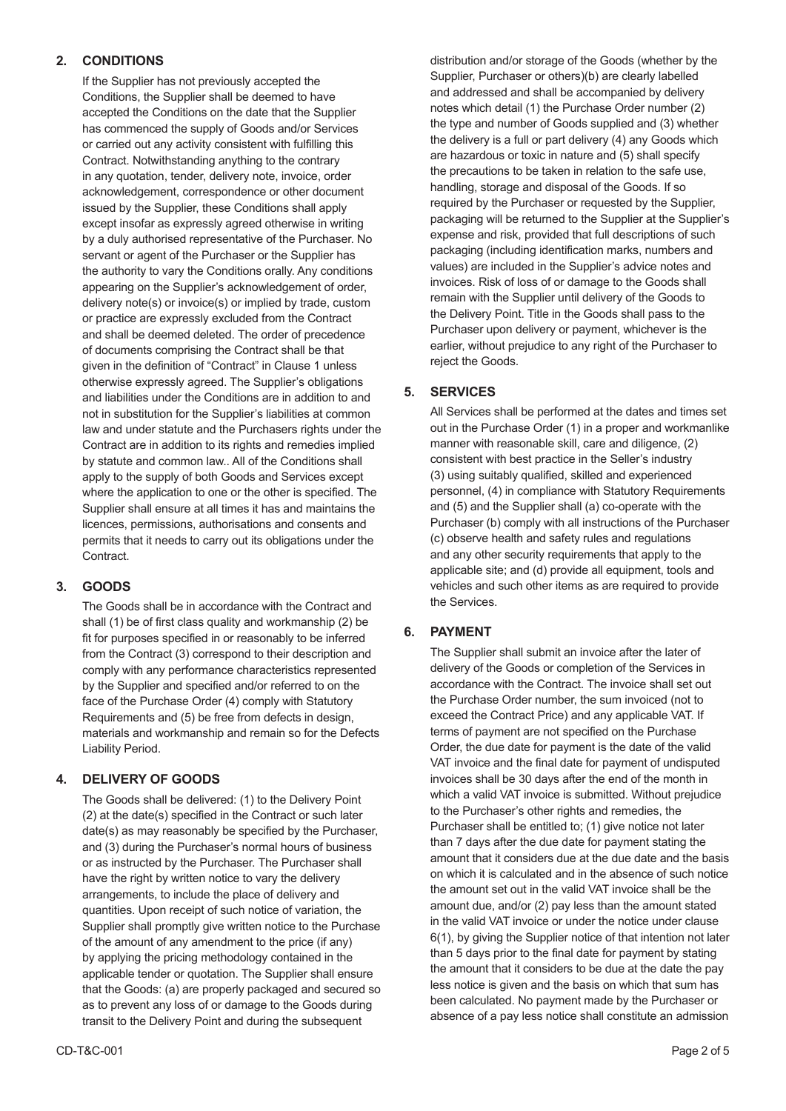# **2. CONDITIONS**

If the Supplier has not previously accepted the Conditions, the Supplier shall be deemed to have accepted the Conditions on the date that the Supplier has commenced the supply of Goods and/or Services or carried out any activity consistent with fulfilling this Contract. Notwithstanding anything to the contrary in any quotation, tender, delivery note, invoice, order acknowledgement, correspondence or other document issued by the Supplier, these Conditions shall apply except insofar as expressly agreed otherwise in writing by a duly authorised representative of the Purchaser. No servant or agent of the Purchaser or the Supplier has the authority to vary the Conditions orally. Any conditions appearing on the Supplier's acknowledgement of order, delivery note(s) or invoice(s) or implied by trade, custom or practice are expressly excluded from the Contract and shall be deemed deleted. The order of precedence of documents comprising the Contract shall be that given in the definition of "Contract" in Clause 1 unless otherwise expressly agreed. The Supplier's obligations and liabilities under the Conditions are in addition to and not in substitution for the Supplier's liabilities at common law and under statute and the Purchasers rights under the Contract are in addition to its rights and remedies implied by statute and common law.. All of the Conditions shall apply to the supply of both Goods and Services except where the application to one or the other is specified. The Supplier shall ensure at all times it has and maintains the licences, permissions, authorisations and consents and permits that it needs to carry out its obligations under the Contract.

# **3. GOODS**

The Goods shall be in accordance with the Contract and shall (1) be of first class quality and workmanship (2) be fit for purposes specified in or reasonably to be inferred from the Contract (3) correspond to their description and comply with any performance characteristics represented by the Supplier and specified and/or referred to on the face of the Purchase Order (4) comply with Statutory Requirements and (5) be free from defects in design, materials and workmanship and remain so for the Defects Liability Period.

# **4. DELIVERY OF GOODS**

The Goods shall be delivered: (1) to the Delivery Point (2) at the date(s) specified in the Contract or such later date(s) as may reasonably be specified by the Purchaser, and (3) during the Purchaser's normal hours of business or as instructed by the Purchaser. The Purchaser shall have the right by written notice to vary the delivery arrangements, to include the place of delivery and quantities. Upon receipt of such notice of variation, the Supplier shall promptly give written notice to the Purchase of the amount of any amendment to the price (if any) by applying the pricing methodology contained in the applicable tender or quotation. The Supplier shall ensure that the Goods: (a) are properly packaged and secured so as to prevent any loss of or damage to the Goods during transit to the Delivery Point and during the subsequent

distribution and/or storage of the Goods (whether by the Supplier, Purchaser or others)(b) are clearly labelled and addressed and shall be accompanied by delivery notes which detail (1) the Purchase Order number (2) the type and number of Goods supplied and (3) whether the delivery is a full or part delivery (4) any Goods which are hazardous or toxic in nature and (5) shall specify the precautions to be taken in relation to the safe use, handling, storage and disposal of the Goods. If so required by the Purchaser or requested by the Supplier, packaging will be returned to the Supplier at the Supplier's expense and risk, provided that full descriptions of such packaging (including identification marks, numbers and values) are included in the Supplier's advice notes and invoices. Risk of loss of or damage to the Goods shall remain with the Supplier until delivery of the Goods to the Delivery Point. Title in the Goods shall pass to the Purchaser upon delivery or payment, whichever is the earlier, without prejudice to any right of the Purchaser to reject the Goods.

# **5. SERVICES**

All Services shall be performed at the dates and times set out in the Purchase Order (1) in a proper and workmanlike manner with reasonable skill, care and diligence, (2) consistent with best practice in the Seller's industry (3) using suitably qualified, skilled and experienced personnel, (4) in compliance with Statutory Requirements and (5) and the Supplier shall (a) co-operate with the Purchaser (b) comply with all instructions of the Purchaser (c) observe health and safety rules and regulations and any other security requirements that apply to the applicable site; and (d) provide all equipment, tools and vehicles and such other items as are required to provide the Services.

# **6. PAYMENT**

The Supplier shall submit an invoice after the later of delivery of the Goods or completion of the Services in accordance with the Contract. The invoice shall set out the Purchase Order number, the sum invoiced (not to exceed the Contract Price) and any applicable VAT. If terms of payment are not specified on the Purchase Order, the due date for payment is the date of the valid VAT invoice and the final date for payment of undisputed invoices shall be 30 days after the end of the month in which a valid VAT invoice is submitted. Without prejudice to the Purchaser's other rights and remedies, the Purchaser shall be entitled to; (1) give notice not later than 7 days after the due date for payment stating the amount that it considers due at the due date and the basis on which it is calculated and in the absence of such notice the amount set out in the valid VAT invoice shall be the amount due, and/or (2) pay less than the amount stated in the valid VAT invoice or under the notice under clause 6(1), by giving the Supplier notice of that intention not later than 5 days prior to the final date for payment by stating the amount that it considers to be due at the date the pay less notice is given and the basis on which that sum has been calculated. No payment made by the Purchaser or absence of a pay less notice shall constitute an admission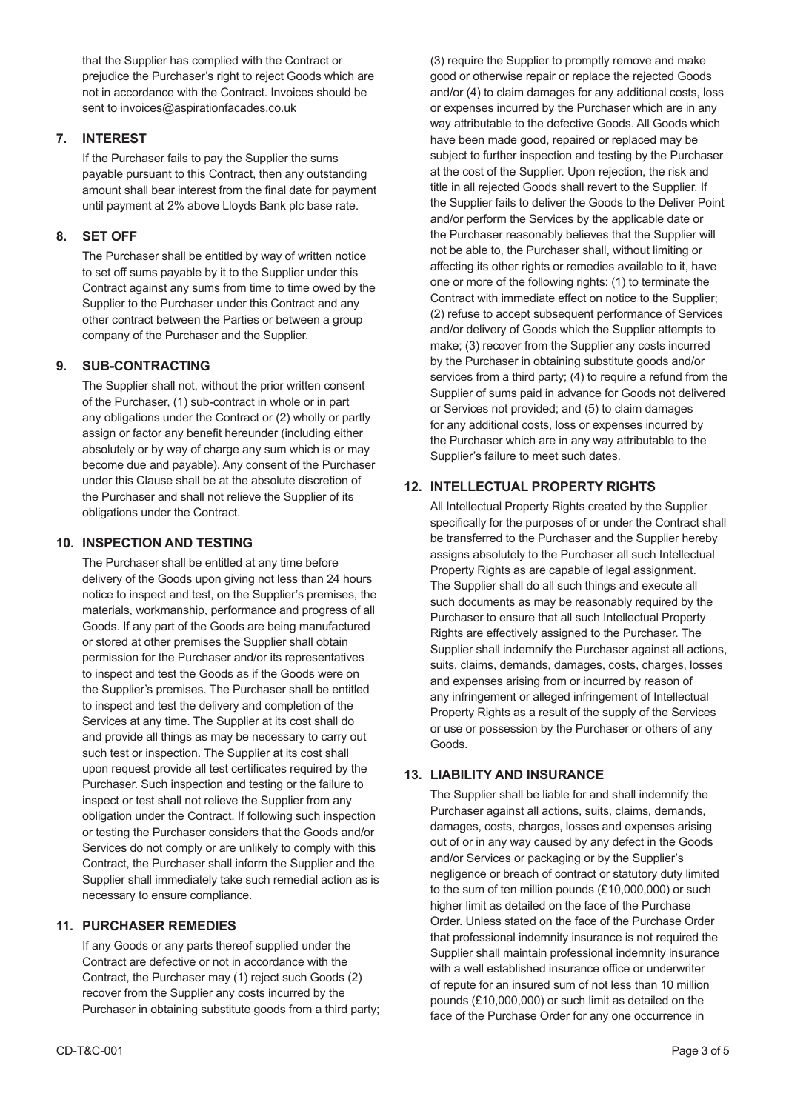that the Supplier has complied with the Contract or prejudice the Purchaser's right to reject Goods which are not in accordance with the Contract. Invoices should be sent to invoices@aspirationfacades.co.uk

# **7. INTEREST**

If the Purchaser fails to pay the Supplier the sums payable pursuant to this Contract, then any outstanding amount shall bear interest from the final date for payment until payment at 2% above Lloyds Bank plc base rate.

# **8. SET OFF**

The Purchaser shall be entitled by way of written notice to set off sums payable by it to the Supplier under this Contract against any sums from time to time owed by the Supplier to the Purchaser under this Contract and any other contract between the Parties or between a group company of the Purchaser and the Supplier.

# **9. SUB-CONTRACTING**

The Supplier shall not, without the prior written consent of the Purchaser, (1) sub-contract in whole or in part any obligations under the Contract or (2) wholly or partly assign or factor any benefit hereunder (including either absolutely or by way of charge any sum which is or may become due and payable). Any consent of the Purchaser under this Clause shall be at the absolute discretion of the Purchaser and shall not relieve the Supplier of its obligations under the Contract.

#### **10. INSPECTION AND TESTING**

The Purchaser shall be entitled at any time before delivery of the Goods upon giving not less than 24 hours notice to inspect and test, on the Supplier's premises, the materials, workmanship, performance and progress of all Goods. If any part of the Goods are being manufactured or stored at other premises the Supplier shall obtain permission for the Purchaser and/or its representatives to inspect and test the Goods as if the Goods were on the Supplier's premises. The Purchaser shall be entitled to inspect and test the delivery and completion of the Services at any time. The Supplier at its cost shall do and provide all things as may be necessary to carry out such test or inspection. The Supplier at its cost shall upon request provide all test certificates required by the Purchaser. Such inspection and testing or the failure to inspect or test shall not relieve the Supplier from any obligation under the Contract. If following such inspection or testing the Purchaser considers that the Goods and/or Services do not comply or are unlikely to comply with this Contract, the Purchaser shall inform the Supplier and the Supplier shall immediately take such remedial action as is necessary to ensure compliance.

# **11. PURCHASER REMEDIES**

If any Goods or any parts thereof supplied under the Contract are defective or not in accordance with the Contract, the Purchaser may (1) reject such Goods (2) recover from the Supplier any costs incurred by the Purchaser in obtaining substitute goods from a third party; (3) require the Supplier to promptly remove and make good or otherwise repair or replace the rejected Goods and/or (4) to claim damages for any additional costs, loss or expenses incurred by the Purchaser which are in any way attributable to the defective Goods. All Goods which have been made good, repaired or replaced may be subject to further inspection and testing by the Purchaser at the cost of the Supplier. Upon rejection, the risk and title in all rejected Goods shall revert to the Supplier. If the Supplier fails to deliver the Goods to the Deliver Point and/or perform the Services by the applicable date or the Purchaser reasonably believes that the Supplier will not be able to, the Purchaser shall, without limiting or affecting its other rights or remedies available to it, have one or more of the following rights: (1) to terminate the Contract with immediate effect on notice to the Supplier; (2) refuse to accept subsequent performance of Services and/or delivery of Goods which the Supplier attempts to make; (3) recover from the Supplier any costs incurred by the Purchaser in obtaining substitute goods and/or services from a third party; (4) to require a refund from the Supplier of sums paid in advance for Goods not delivered or Services not provided; and (5) to claim damages for any additional costs, loss or expenses incurred by the Purchaser which are in any way attributable to the Supplier's failure to meet such dates.

# **12. INTELLECTUAL PROPERTY RIGHTS**

All Intellectual Property Rights created by the Supplier specifically for the purposes of or under the Contract shall be transferred to the Purchaser and the Supplier hereby assigns absolutely to the Purchaser all such Intellectual Property Rights as are capable of legal assignment. The Supplier shall do all such things and execute all such documents as may be reasonably required by the Purchaser to ensure that all such Intellectual Property Rights are effectively assigned to the Purchaser. The Supplier shall indemnify the Purchaser against all actions, suits, claims, demands, damages, costs, charges, losses and expenses arising from or incurred by reason of any infringement or alleged infringement of Intellectual Property Rights as a result of the supply of the Services or use or possession by the Purchaser or others of any Goods.

# **13. LIABILITY AND INSURANCE**

The Supplier shall be liable for and shall indemnify the Purchaser against all actions, suits, claims, demands, damages, costs, charges, losses and expenses arising out of or in any way caused by any defect in the Goods and/or Services or packaging or by the Supplier's negligence or breach of contract or statutory duty limited to the sum of ten million pounds (£10,000,000) or such higher limit as detailed on the face of the Purchase Order. Unless stated on the face of the Purchase Order that professional indemnity insurance is not required the Supplier shall maintain professional indemnity insurance with a well established insurance office or underwriter of repute for an insured sum of not less than 10 million pounds (£10,000,000) or such limit as detailed on the face of the Purchase Order for any one occurrence in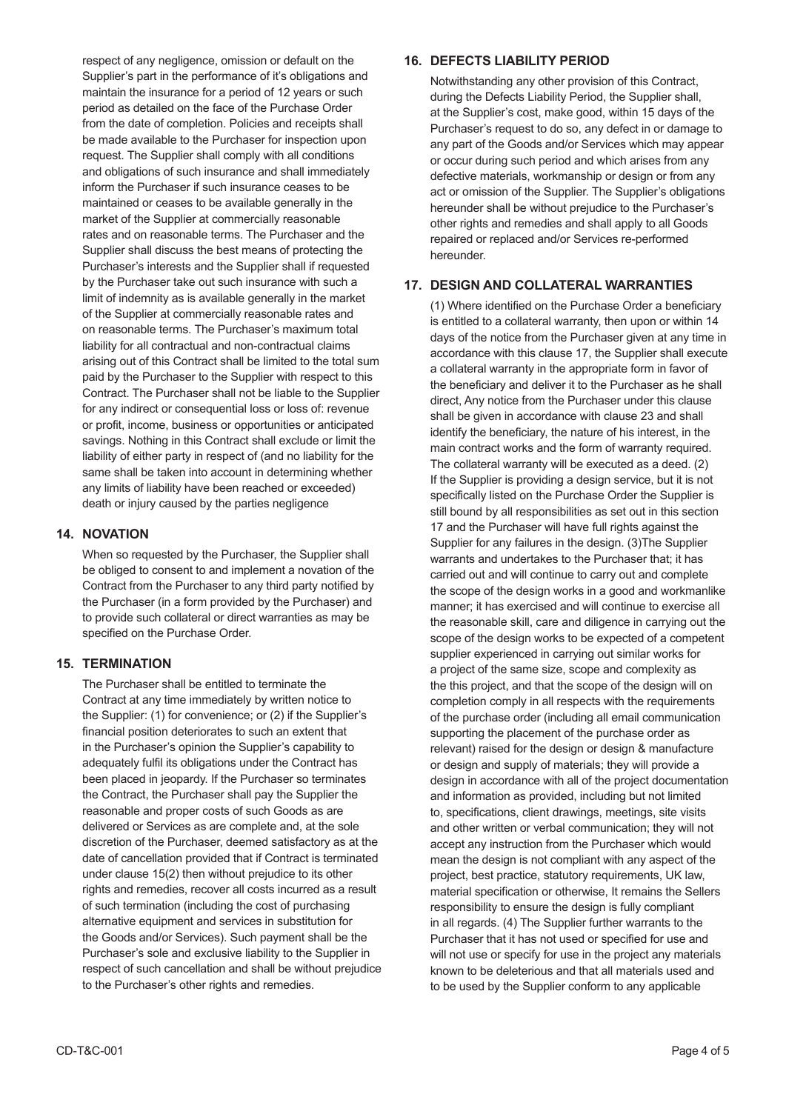respect of any negligence, omission or default on the Supplier's part in the performance of it's obligations and maintain the insurance for a period of 12 years or such period as detailed on the face of the Purchase Order from the date of completion. Policies and receipts shall be made available to the Purchaser for inspection upon request. The Supplier shall comply with all conditions and obligations of such insurance and shall immediately inform the Purchaser if such insurance ceases to be maintained or ceases to be available generally in the market of the Supplier at commercially reasonable rates and on reasonable terms. The Purchaser and the Supplier shall discuss the best means of protecting the Purchaser's interests and the Supplier shall if requested by the Purchaser take out such insurance with such a limit of indemnity as is available generally in the market of the Supplier at commercially reasonable rates and on reasonable terms. The Purchaser's maximum total liability for all contractual and non-contractual claims arising out of this Contract shall be limited to the total sum paid by the Purchaser to the Supplier with respect to this Contract. The Purchaser shall not be liable to the Supplier for any indirect or consequential loss or loss of: revenue or profit, income, business or opportunities or anticipated savings. Nothing in this Contract shall exclude or limit the liability of either party in respect of (and no liability for the same shall be taken into account in determining whether any limits of liability have been reached or exceeded) death or injury caused by the parties negligence

#### **14. NOVATION**

When so requested by the Purchaser, the Supplier shall be obliged to consent to and implement a novation of the Contract from the Purchaser to any third party notified by the Purchaser (in a form provided by the Purchaser) and to provide such collateral or direct warranties as may be specified on the Purchase Order.

#### **15. TERMINATION**

The Purchaser shall be entitled to terminate the Contract at any time immediately by written notice to the Supplier: (1) for convenience; or (2) if the Supplier's financial position deteriorates to such an extent that in the Purchaser's opinion the Supplier's capability to adequately fulfil its obligations under the Contract has been placed in jeopardy. If the Purchaser so terminates the Contract, the Purchaser shall pay the Supplier the reasonable and proper costs of such Goods as are delivered or Services as are complete and, at the sole discretion of the Purchaser, deemed satisfactory as at the date of cancellation provided that if Contract is terminated under clause 15(2) then without prejudice to its other rights and remedies, recover all costs incurred as a result of such termination (including the cost of purchasing alternative equipment and services in substitution for the Goods and/or Services). Such payment shall be the Purchaser's sole and exclusive liability to the Supplier in respect of such cancellation and shall be without prejudice to the Purchaser's other rights and remedies.

#### **16. DEFECTS LIABILITY PERIOD**

Notwithstanding any other provision of this Contract, during the Defects Liability Period, the Supplier shall, at the Supplier's cost, make good, within 15 days of the Purchaser's request to do so, any defect in or damage to any part of the Goods and/or Services which may appear or occur during such period and which arises from any defective materials, workmanship or design or from any act or omission of the Supplier. The Supplier's obligations hereunder shall be without prejudice to the Purchaser's other rights and remedies and shall apply to all Goods repaired or replaced and/or Services re-performed hereunder.

#### **17. DESIGN AND COLLATERAL WARRANTIES**

(1) Where identified on the Purchase Order a beneficiary is entitled to a collateral warranty, then upon or within 14 days of the notice from the Purchaser given at any time in accordance with this clause 17, the Supplier shall execute a collateral warranty in the appropriate form in favor of the beneficiary and deliver it to the Purchaser as he shall direct, Any notice from the Purchaser under this clause shall be given in accordance with clause 23 and shall identify the beneficiary, the nature of his interest, in the main contract works and the form of warranty required. The collateral warranty will be executed as a deed. (2) If the Supplier is providing a design service, but it is not specifically listed on the Purchase Order the Supplier is still bound by all responsibilities as set out in this section 17 and the Purchaser will have full rights against the Supplier for any failures in the design. (3)The Supplier warrants and undertakes to the Purchaser that; it has carried out and will continue to carry out and complete the scope of the design works in a good and workmanlike manner; it has exercised and will continue to exercise all the reasonable skill, care and diligence in carrying out the scope of the design works to be expected of a competent supplier experienced in carrying out similar works for a project of the same size, scope and complexity as the this project, and that the scope of the design will on completion comply in all respects with the requirements of the purchase order (including all email communication supporting the placement of the purchase order as relevant) raised for the design or design & manufacture or design and supply of materials; they will provide a design in accordance with all of the project documentation and information as provided, including but not limited to, specifications, client drawings, meetings, site visits and other written or verbal communication; they will not accept any instruction from the Purchaser which would mean the design is not compliant with any aspect of the project, best practice, statutory requirements, UK law, material specification or otherwise, It remains the Sellers responsibility to ensure the design is fully compliant in all regards. (4) The Supplier further warrants to the Purchaser that it has not used or specified for use and will not use or specify for use in the project any materials known to be deleterious and that all materials used and to be used by the Supplier conform to any applicable